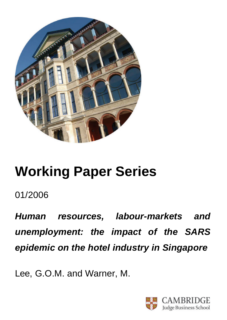

# **Working Paper Series**

01/2006

*Human resources, labour-markets and unemployment: the impact of the SARS epidemic on the hotel industry in Singapore*

Lee, G.O.M. and Warner, M.

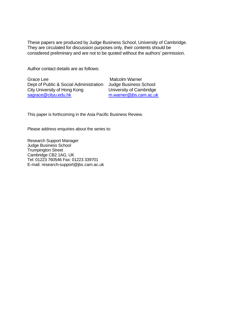These papers are produced by Judge Business School, University of Cambridge. They are circulated for discussion purposes only, their contents should be considered preliminary and are not to be quoted without the authors' permission.

Author contact details are as follows:

Grace Lee Dept of Public & Social Administration City University of Hong Kong sagrace@cityu.edu.hk

 Malcolm Warner Judge Business School University of Cambridge m.warner@jbs.cam.ac.uk

This paper is forthcoming in the Asia Pacific Business Review.

Please address enquiries about the series to:

Research Support Manager Judge Business School Trumpington Street Cambridge CB2 1AG, UK Tel: 01223 760546 Fax: 01223 339701 E-mail: research-support@jbs.cam.ac.uk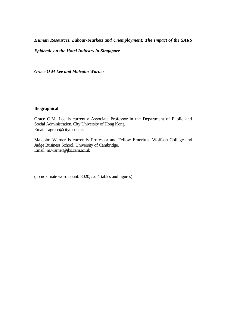*Human Resources, Labour-Markets and Unemployment: The Impact of the SARS* 

*Epidemic on the Hotel Industry in Singapore*

*Grace O M Lee and Malcolm Warner*

# **Biographical**

Grace O.M. Lee is currently Associate Professor in the Department of Public and Social Administration, City University of Hong Kong. Email: sagrace@cityu.edu.hk

Malcolm Warner is currently Professor and Fellow Emeritus, Wolfson College and Judge Business School, University of Cambridge. Email: m.warner@jbs.cam.ac.uk

(approximate word count: 8020, *excl.* tables and figures)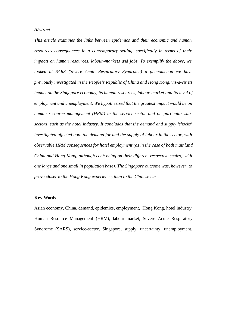#### *Abstract*

*This article examines the links between epidemics and their economic and human resources consequences in a contemporary setting, specifically in terms of their impacts on human resources, labour-markets and jobs. To exemplify the above, we looked at SARS (Severe Acute Respiratory Syndrome) a phenomenon we have previously investigated in the People's Republic of China and Hong Kong, vis-à-vis its impact on the Singapore economy, its human resources, labour-market and its level of employment and unemployment. We hypothesized that the greatest impact would be on human resource management (HRM) in the service-sector and on particular subsectors, such as the hotel industry. It concludes that the demand and supply 'shocks' investigated affected both the demand for and the supply of labour in the sector, with observable HRM consequences for hotel employment (as in the case of both mainland China and Hong Kong, although each being on their different respective scales, with one large and one small in population base). The Singapore outcome was, however, to prove closer to the Hong Kong experience, than to the Chinese case.* 

## **Key-Words**

Asian economy, China, demand, epidemics, employment, Hong Kong, hotel industry, Human Resource Management (HRM), labour-market, Severe Acute Respiratory Syndrome (SARS), service-sector, Singapore, supply, uncertainty, unemployment.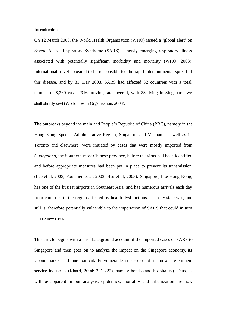#### **Introduction**

On 12 March 2003, the World Health Organization (WHO) issued a 'global alert' on Severe Acute Respiratory Syndrome (SARS), a newly emerging respiratory illness associated with potentially significant morbidity and mortality (WHO, 2003). International travel appeared to be responsible for the rapid intercontinental spread of this disease, and by 31 May 2003, SARS had affected 32 countries with a total number of 8,360 cases (916 proving fatal overall, with 33 dying in Singapore, we shall shortly see) (World Health Organization, 2003).

The outbreaks beyond the mainland People's Republic of China (PRC), namely in the Hong Kong Special Administrative Region, Singapore and Vietnam, as well as in Toronto and elsewhere, were initiated by cases that were mostly imported from *Guangdong,* the Southern-most Chinese province, before the virus had been identified and before appropriate measures had been put in place to prevent its transmission (Lee et al, 2003; Poutanen et al, 2003; Hsu et al, 2003). Singapore, like Hong Kong, has one of the busiest airports in Southeast Asia, and has numerous arrivals each day from countries in the region affected by health dysfunctions. The city-state was, and still is, therefore potentially vulnerable to the importation of SARS that could in turn initiate new cases

This article begins with a brief background account of the imported cases of SARS to Singapore and then goes on to analyze the impact on the Singapore economy, its labour-market and one particularly vulnerable sub-sector of its now pre-eminent service industries (Khatri, 2004: 221-222), namely hotels (and hospitality). Thus, as will be apparent in our analysis, epidemics, mortality and urbanization are now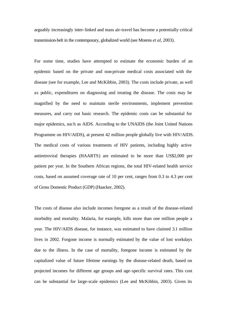arguably increasingly inter-linked and mass air-travel has become a potentially critical transmission-belt in the contemporary, globalized world (see Morens *et al*, 2003).

For some time, studies have attempted to estimate the economic burden of an epidemic based on the private and non-private medical costs associated with the disease (see for example, Lee and McKibbin, 2003). The costs include private, as well as public, expenditures on diagnosing and treating the disease. The costs may be magnified by the need to maintain sterile environments, implement prevention measures, and carry out basic research. The epidemic costs can be substantial for major epidemics, such as AIDS. According to the UNAIDS (the Joint United Nations Programme on HIV/AIDS), at present 42 million people globally live with HIV/AIDS. The medical costs of various treatments of HIV patients, including highly active antiretroviral therapies (HAARTS) are estimated to be more than US\$2,000 per patient per year. In the Southern African regions, the total HIV-related health service costs, based on assumed coverage rate of 10 per cent, ranges from 0.3 to 4.3 per cent of Gross Domestic Product (GDP) (Haacker, 2002).

The costs of disease also include incomes foregone as a result of the disease-related morbidity and mortality. Malaria, for example, kills more than one million people a year. The HIV/AIDS disease, for instance, was estimated to have claimed 3.1 million lives in 2002. Forgone income is normally estimated by the value of lost workdays due to the illness. In the case of mortality, foregone income is estimated by the capitalized value of future lifetime earnings by the disease-related death, based on projected incomes for different age groups and age-specific survival rates. This cost can be substantial for large-scale epidemics (Lee and McKibbin, 2003). Given its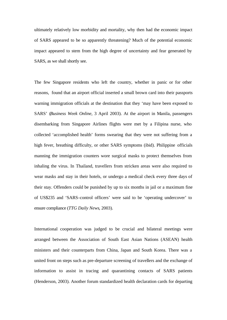ultimately relatively low morbidity and mortality, why then had the economic impact of SARS appeared to be so apparently threatening? Much of the potential economic impact appeared to stem from the high degree of uncertainty and fear generated by SARS, as we shall shortly see.

The few Singapore residents who left the country, whether in panic or for other reasons, found that an airport official inserted a small brown card into their passports warning immigration officials at the destination that they 'may have been exposed to SARS' (*Business Week Online*, 3 April 2003). At the airport in Manila, passengers disembarking from Singapore Airlines flights were met by a Filipina nurse, who collected 'accomplished health' forms swearing that they were not suffering from a high fever, breathing difficulty, or other SARS symptoms (ibid). Philippine officials manning the immigration counters wore surgical masks to protect themselves from inhaling the virus. In Thailand, travellers from stricken areas were also required to wear masks and stay in their hotels, or undergo a medical check every three days of their stay. Offenders could be punished by up to six months in jail or a maximum fine of US\$235 and 'SARS-control officers' were said to be 'operating undercover' to ensure compliance (*TTG Daily News*, 2003).

International cooperation was judged to be crucial and bilateral meetings were arranged between the Association of South East Asian Nations (ASEAN) health ministers and their counterparts from China, Japan and South Korea. There was a united front on steps such as pre-departure screening of travellers and the exchange of information to assist in tracing and quarantining contacts of SARS patients (Henderson, 2003). Another forum standardized health declaration cards for departing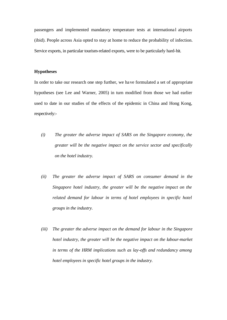passengers and implemented mandatory temperature tests at international airports (ibid). People across Asia opted to stay at home to reduce the probability of infection. Service exports, in particular tourism-related exports, were to be particularly hard-hit.

## **Hypotheses**

In order to take our research one step further, we have formulated a set of appropriate hypotheses (see Lee and Warner, 2005) in turn modified from those we had earlier used to date in our studies of the effects of the epidemic in China and Hong Kong, respectively:-

- *(i) The greater the adverse impact of SARS on the Singapore economy, the greater will be the negative impact on the service sector and specifically on the hotel industry.*
- *(ii) The greater the adverse impact of SARS on consumer demand in the Singapore hotel industry, the greater will be the negative impact on the related demand for labour in terms of hotel employees in specific hotel groups in the industry.*
- *(iii) The greater the adverse impact on the demand for labour in the Singapore hotel industry, the greater will be the negative impact on the labour-market in terms of the HRM implications such as lay-offs and redundancy among hotel employees in specific hotel groups in the industry.*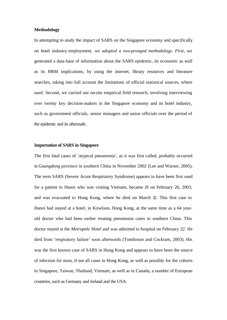## **Methodology**

In attempting to study the impact of SARS on the Singapore economy and specifically on hotel industry employment, *we adopted a two-pronged methodology*. *First*, we generated a data-base of information about the SARS epidemic, its economic as well as its HRM implications, by using the internet, library resources and literature searches, taking into full account the limitations of official statistical sources, where used. Second, we carried out on-site empirical field research, involving interviewing over twenty key decision-makers in the Singapore economy and its hotel industry, such as government officials, senior managers and union officials over the period of the epidemic and its aftermath.

## **Importation of SARS in Singapore**

The first fatal cases of 'atypical pneumonia', as it was first called, probably occurred in *Guangdong* province in southern China in November 2002 (Lee and Warner, 2005). The term SARS (Severe Acute Respiratory Syndrome) appears to have been first used for a patient in Hanoi who was visiting Vietnam, became ill on February 26, 2003, and was evacuated to Hong Kong, where he died on March 12. This first case in Hanoi had stayed at a hotel, in Kowloon, Hong Kong, at the same time as a 64 yearold doctor who had been earlier treating pneumonia cases in southern China. This doctor stayed at the *Metropole Hotel* and was admitted to hospital on February 22. He died from 'respiratory failure' soon afterwards (Tomlinson and Cockram, 2003). His was the first known case of SARS in Hong Kong and appears to have been the source of infection for most, if not all cases in Hong Kong, as well as possibly for the cohorts in Singapore, Taiwan, Thailand, Vietnam, as well as in Canada, a number of European countries, such as Germany and Ireland and the USA.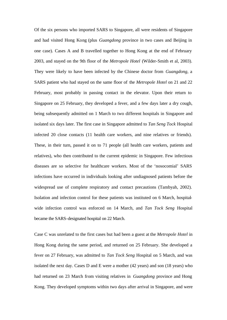Of the six persons who imported SARS to Singapore, all were residents of Singapore and had visited Hong Kong (plus *Guangdong* province in two cases and Beijing in one case). Cases A and B travelled together to Hong Kong at the end of February 2003, and stayed on the 9th floor of the *Metropole Hotel* (Wilder-Smith et al, 2003). They were likely to have been infected by the Chinese doctor from *Guangdong*, a SARS patient who had stayed on the same floor of the *Metropole Hotel* on 21 and 22 February, most probably in passing contact in the elevator. Upon their return to Singapore on 25 February, they developed a fever, and a few days later a dry cough, being subsequently admitted on 1 March to two different hospitals in Singapore and isolated six days later. The first case in Singapore admitted to *Tan Seng Tock* Hospital infected 20 close contacts (11 health care workers, and nine relatives or friends). These, in their turn, passed it on to 71 people (all health care workers, patients and relatives), who then contributed to the current epidemic in Singapore. Few infectious diseases are so selective for healthcare workers. Most of the 'nosocomial' SARS infections have occurred in individuals looking after undiagnosed patients before the widespread use of complete respiratory and contact precautions (Tambyah, 2002). Isolation and infection control for these patients was instituted on 6 March, hospitalwide infection control was enforced on 14 March, and *Tan Tock Seng* Hospital became the SARS-designated hospital on 22 March.

Case C was unrelated to the first cases but had been a guest at the *Metropole Hotel* in Hong Kong during the same period, and returned on 25 February. She developed a fever on 27 February, was admitted to *Tan Tock Seng* Hospital on 5 March, and was isolated the next day. Cases D and E were a mother (42 years) and son (18 years) who had returned on 23 March from visiting relatives in *Guangdong* province and Hong Kong. They developed symptoms within two days after arrival in Singapore, and were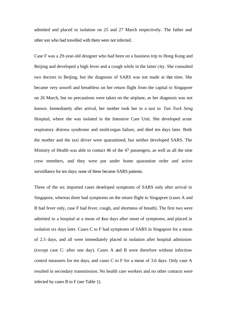admitted and placed in isolation on 25 and 27 March respectively. The father and other son who had travelled with them were not infected.

Case F was a 29-year-old designer who had been on a business trip to Hong Kong and Beijing and developed a high fever and a cough while in the latter city. She consulted two doctors in Beijing, but the diagnosis of SARS was not made at that time. She became very unwell and breathless on her return flight from the capital to Singapore on 26 March, but no precautions were taken on the airplane, as her diagnosis was not known. Immediately after arrival, her mother took her in a taxi to *Tan Tock Seng* Hospital, where she was isolated in the Intensive Care Unit. She developed acute respiratory distress syndrome and multi-organ failure, and died ten days later. Both the mother and the taxi driver were quarantined, but neither developed SARS. The Ministry of Health was able to contact 46 of the 47 passengers, as well as all the nine crew members, and they were put under home quarantine order and active surveillance for ten days; none of these became SARS patients.

Three of the six imported cases developed symptoms of SARS only after arrival in Singapore, whereas three had symptoms on the return flight to Singapore (cases A and B had fever only, case F had fever, cough, and shortness of breath). The first two were admitted to a hospital at a mean of four days after onset of symptoms, and placed in isolation six days later. Cases C to F had symptoms of SARS in Singapore for a mean of 2.5 days, and all were immediately placed in isolation after hospital admission (except case C: after one day). Cases A and B were therefore without infectioncontrol measures for ten days, and cases C to F for a mean of 3.6 days. Only case A resulted in secondary transmission. No health care workers and no other contacts were infected by cases B to F (see Table 1).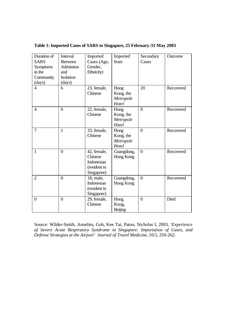| Duration of    | Interval         | Imported     | Imported   | Secondary        | Outcome   |
|----------------|------------------|--------------|------------|------------------|-----------|
| <b>SARS</b>    | <b>Between</b>   | Cases (Age,  | from       | Cases            |           |
| Symptoms       | Admission        | Gender,      |            |                  |           |
| in the         | and              | Ethnicity)   |            |                  |           |
| Community      | Isolation        |              |            |                  |           |
| (days)         | (days)           |              |            |                  |           |
| $\overline{4}$ | 6                | 23, female,  | Hong       | 20               | Recovered |
|                |                  | Chinese      | Kong, the  |                  |           |
|                |                  |              | Metropole  |                  |           |
|                |                  |              | Hotel      |                  |           |
| $\overline{4}$ | 6                | 22, female,  | Hong       | $\overline{0}$   | Recovered |
|                |                  | Chinese      | Kong, the  |                  |           |
|                |                  |              | Metropole  |                  |           |
|                |                  |              | Hotel      |                  |           |
| 7              | 1                | 33, female,  | Hong       | $\theta$         | Recovered |
|                |                  | Chinese      | Kong, the  |                  |           |
|                |                  |              | Metropole  |                  |           |
|                |                  |              | Hotel      |                  |           |
| $\mathbf{1}$   | $\boldsymbol{0}$ | 42, female,  | Guangdong, | $\overline{0}$   | Recovered |
|                |                  | Chinese      | Hong Kong  |                  |           |
|                |                  | Indonesian   |            |                  |           |
|                |                  | (resident in |            |                  |           |
|                |                  | Singapore)   |            |                  |           |
| $\overline{2}$ | $\overline{0}$   | 18, male,    | Guangdong, | $\boldsymbol{0}$ | Recovered |
|                |                  | Indonesian   | Hong Kong  |                  |           |
|                |                  | (resident in |            |                  |           |
|                |                  | Singapore)   |            |                  |           |
| $\theta$       | $\overline{0}$   | 29, female,  | Hong       | $\Omega$         | Died      |
|                |                  | Chinese      | Kong,      |                  |           |
|                |                  |              | Beijing    |                  |           |

**Table 1: Imported Cases of SARS to Singapore, 25 February-31 May 2003** 

Source: Wilder-Smith, Annelies, Goh, Kee Tai, Paton, Nicholas I, 2003, '*Experience of Severe Acute Respiratory Syndrome in Singapore: Importation of Cases, and Defense Strategies at the Airport' Journal of Travel Medicine*, 10:5, 259-262.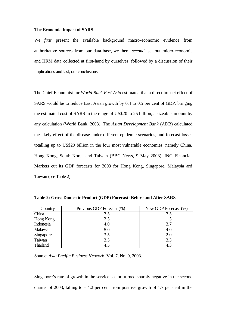#### **The Economic Impact of SARS**

We *first* present the available background macro-economic evidence from authoritative sources from our data-base, we then, *second*, set out micro-economic and HRM data collected at first-hand by ourselves, followed by a discussion of their implications and last, our conclusions.

The Chief Economist for *World Bank East Asia* estimated that a direct impact effect of SARS would be to reduce East Asian growth by 0.4 to 0.5 per cent of GDP, bringing the estimated cost of SARS in the range of US\$20 to 25 billion, a sizeable amount by any calculation (World Bank, 2003). The *Asian Development Bank* (ADB) calculated the likely effect of the disease under different epidemic scenarios, and forecast losses totalling up to US\$20 billion in the four most vulnerable economies, namely China, Hong Kong, South Korea and Taiwan (BBC News, 9 May 2003). ING Financial Markets cut its GDP forecasts for 2003 for Hong Kong, Singapore, Malaysia and Taiwan (see Table 2).

| Country   | Previous GDP Forecast (%) | New GDP Forecast (%) |
|-----------|---------------------------|----------------------|
| China     | 7.5                       | 7.5                  |
| Hong Kong | 2.5                       | 1.5                  |
| Indonesia | 4.0                       | 3.7                  |
| Malaysia  | 5.0                       | 4.0                  |
| Singapore | 3.5                       | 2.0                  |
| Taiwan    | 3.5                       | 3.3                  |
| Thailand  | 4.5                       | 4.3                  |

**Table 2: Gross Domestic Product (GDP) Forecast: Before and After SARS**

Source: *Asia Pacific Business Network*, Vol. 7, No. 9, 2003.

Singapore's rate of growth in the service sector, turned sharply negative in the second quarter of 2003, falling to - 4.2 per cent from positive growth of 1.7 per cent in the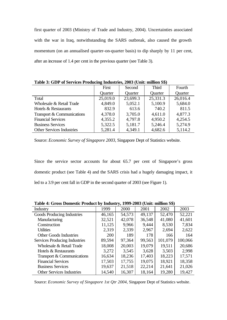first quarter of 2003 (Ministry of Trade and Industry, 2004). Uncertainties associated with the war in Iraq, notwithstanding the SARS outbreak, also caused the growth momentum (on an annualised quarter-on-quarter basis) to dip sharply by 11 per cent, after an increase of 1.4 per cent in the previous quarter (see Table 3).

|                                  | First    | Second   | <b>Third</b> | Fourth   |
|----------------------------------|----------|----------|--------------|----------|
|                                  | Quarter  | Quarter  | Quarter      | Quarter  |
| Total                            | 25,019.0 | 23,699.3 | 25,331.3     | 26,016.4 |
| Wholesale & Retail Trade         | 4,849.0  | 5,052.1  | 5,100.9      | 5,684.0  |
| Hotels & Restaurants             | 832.9    | 613.6    | 740.2        | 811.5    |
| Transport & Communications       | 4,378.0  | 3,705.0  | 4,611.0      | 4,877.3  |
| <b>Financial Services</b>        | 4,355.2  | 4,797.8  | 4,950.2      | 4,254.5  |
| <b>Business Services</b>         | 5,322.5  | 5,181.7  | 5,246.4      | 5,274.9  |
| <b>Other Services Industries</b> | 5,281.4  | 4,349.1  | 4,682.6      | 5,114.2  |

**Table 3: GDP of Services Producing Industries, 2003 (Unit: million S\$)**

Source: *Economic Survey of Singapore 2003*, Singapore Dept of Statistics website.

Since the service sector accounts for about 65.7 per cent of Singapore's gross domestic product (see Table 4) and the SARS crisis had a hugely damaging impact, it led to a 3.9 per cent fall in GDP in the second quarter of 2003 (see Figure 1).

|                                  | <b>Table 4: Gross Domestic Product by Industry, 1999-2003 (Unit: million S5)</b> |        |        |         |         |  |  |  |
|----------------------------------|----------------------------------------------------------------------------------|--------|--------|---------|---------|--|--|--|
| Industry                         | 1999                                                                             | 2000   | 2001   | 2002    | 2003    |  |  |  |
| Goods Producing Industries       | 46,165                                                                           | 54,573 | 49,137 | 52,470  | 52,221  |  |  |  |
| Manufacturing                    | 32,521                                                                           | 42,078 | 36,548 | 41,080  | 41,601  |  |  |  |
| Construction                     | 11,125                                                                           | 9,966  | 9,444  | 8,530   | 7,834   |  |  |  |
| <b>Utilities</b>                 | 2,319                                                                            | 2,339  | 2,967  | 2,694   | 2,622   |  |  |  |
| <b>Other Goods Industries</b>    | 200                                                                              | 189    | 178    | 166     | 164     |  |  |  |
| Services Producing Industries    | 89,594                                                                           | 97,364 | 99,563 | 101,079 | 100,066 |  |  |  |
| Wholesale & Retail Trade         | 18,008                                                                           | 20,003 | 19,079 | 19,511  | 20,686  |  |  |  |
| Hotels & Restaurants             | 3,272                                                                            | 3,545  | 3,628  | 3,503   | 2.998   |  |  |  |
| Transport & Communications       | 16,634                                                                           | 18,236 | 17,403 | 18,223  | 17,571  |  |  |  |
| <b>Financial Services</b>        | 17,503                                                                           | 17,755 | 19,075 | 18,921  | 18,358  |  |  |  |
| <b>Business Services</b>         | 19,637                                                                           | 21,518 | 22,214 | 21,641  | 21,026  |  |  |  |
| <b>Other Services Industries</b> | 14,540                                                                           | 16,307 | 18,164 | 19,280  | 19,427  |  |  |  |

**Table 4: Gross Domestic Product by Industry, 1999-2003 (Unit: million S\$)**

Source: *Economic Survey of Singapore 1st Qtr 2004*, Singapore Dept of Statistics website.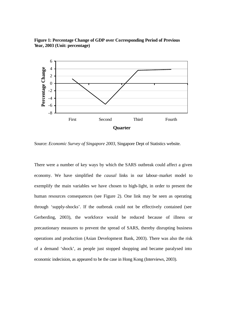



Source: *Economic Survey of Singapore 2003*, Singapore Dept of Statistics website.

There were a number of key ways by which the SARS outbreak could affect a given economy. We have simplified the *causal* links in our labour-market model to exemplify the main variables we have chosen to high-light, in order to present the human resources consequences (see Figure 2). One link may be seen as operating through 'supply-shocks'. If the outbreak could not be effectively contained (see Gerberding, 2003), the workforce would be reduced because of illness or precautionary measures to prevent the spread of SARS, thereby disrupting business operations and production (Asian Development Bank, 2003). There was also the risk of a demand 'shock', as people just stopped shopping and became paralysed into economic indecision, as appeared to be the case in Hong Kong (Interviews, 2003).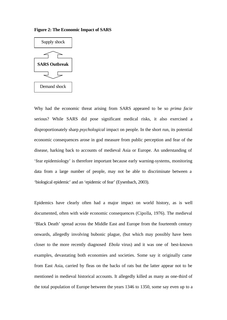**Figure 2: The Economic Impact of SARS**



Why had the economic threat arising from SARS appeared to be so *prima facie* serious? While SARS did pose significant medical risks, it also exercised a disproportionately sharp *psychological* impact on people. In the short run, its potential economic consequences arose in god measure from public perception and fear of the disease, harking back to accounts of medieval Asia or Europe. An understanding of 'fear epidemiology' is therefore important because early warning-systems, monitoring data from a large number of people, may not be able to discriminate between a 'biological epidemic' and an 'epidemic of fear' (Eysenbach, 2003).

Epidemics have clearly often had a major impact on world history, as is well documented, often with wide economic consequences (Cipolla, 1976). The medieval 'Black Death' spread across the Middle East and Europe from the fourteenth century onwards, allegedly involving bubonic plague, (but which may possibly have been closer to the more recently diagnosed *Ebola* virus) and it was one of best-known examples, devastating both economies and societies. Some say it originally came from East Asia, carried by fleas on the backs of rats but the latter appear not to be mentioned in medieval historical accounts. It allegedly killed as many as one-third of the total population of Europe between the years 1346 to 1350, some say even up to a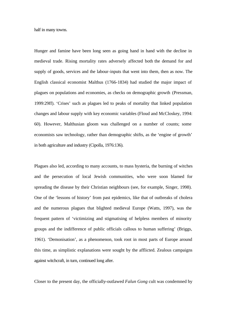half in many towns.

Hunger and famine have been long seen as going hand in hand with the decline in medieval trade. Rising mortality rates adversely affected both the demand for and supply of goods, services and the labour-inputs that went into them, then as now. The English classical economist Malthus (1766-1834) had studied the major impact of plagues on populations and economies, as checks on demographic growth (Pressman, 1999:29ff). 'Crises' such as plagues led to peaks of mortality that linked population changes and labour supply with key economic variables (Floud and McCloskey, 1994: 60). However, Malthusian gloom was challenged on a number of counts; some economists saw technology, rather than demographic shifts, as the 'engine of growth' in both agriculture and industry (Cipolla, 1976:136).

Plagues also led, according to many accounts, to mass hysteria, the burning of witches and the persecution of local Jewish communities, who were soon blamed for spreading the disease by their Christian neighbours (see, for example, Singer, 1998). One of the 'lessons of history' from past epidemics, like that of outbreaks of cholera and the numerous plagues that blighted medieval Europe (Watts, 1997), was the frequent pattern of 'victimizing and stigmatising of helpless members of minority groups and the indifference of public officials callous to human suffering' (Briggs, 1961). 'Demonisation', as a phenomenon, took root in most parts of Europe around this time, as simplistic explanations were sought by the afflicted. Zealous campaigns against witchcraft, in turn, continued long after.

Closer to the present day, the officially-outlawed *Falun Gong* cult was condemned by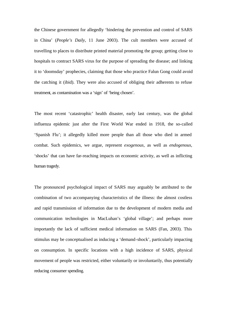the Chinese government for allegedly 'hindering the prevention and control of SARS in China' (*People's Daily*, 11 June 2003). The cult members were accused of travelling to places to distribute printed material promoting the group; getting close to hospitals to contract SARS virus for the purpose of spreading the disease; and linking it to 'doomsday' prophecies, claiming that those who practice Falun Gong could avoid the catching it (ibid). They were also accused of obliging their adherents to refuse treatment, as contamination was a 'sign' of 'being chosen'.

The most recent 'catastrophic' health disaster, early last century, was the global influenza epidemic just after the First World War ended in 1918, the so-called 'Spanish Flu'; it allegedly killed more people than all those who died in armed combat. Such epidemics, we argue, represent *exogenous*, as well as *endogenous*, 'shocks' that can have far-reaching impacts on economic activity, as well as inflicting human tragedy.

The pronounced psychological impact of SARS may arguably be attributed to the combination of two accompanying characteristics of the illness: the almost costless and rapid transmission of information due to the development of modern media and communication technologies in MacLuhan's 'global village'; and perhaps more importantly the lack of sufficient medical information on SARS (Fan, 2003). This stimulus may be conceptualised as inducing a 'demand-shock', particularly impacting on consumption. In specific locations with a high incidence of SARS, physical movement of people was restricted, either voluntarily or involuntarily, thus potentially reducing consumer spending.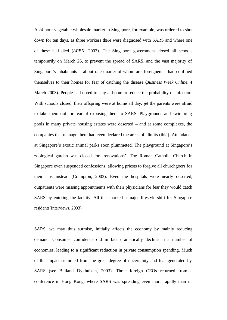A 24-hour vegetable wholesale market in Singapore, for example, was ordered to shut down for ten days, as three workers there were diagnosed with SARS and where one of these had died (*APBN*, 2003). The Singapore government closed all schools temporarily on March 26, to prevent the spread of SARS, and the vast majority of Singapore's inhabitants – about one-quarter of whom are foreigners – had confined themselves to their homes for fear of catching the disease (*Business Week Online*, 4 March 2003). People had opted to stay at home to reduce the probability of infection. With schools closed, their offspring were at home all day, yet the parents were afraid to take them out for fear of exposing them to SARS. Playgrounds and swimming pools in many private housing estates were deserted – and at some complexes, the companies that manage them had even declared the areas off-limits (ibid). Attendance at Singapore's exotic animal parks soon plummeted. The playground at Singapore's zoological garden was closed for 'renovations'. The Roman Catholic Church in Singapore even suspended confessions, allowing priests to forgive all churchgoers for their sins instead (Crampton, 2003). Even the hospitals were nearly deserted; outpatients were missing appointments with their physicians for fear they would catch SARS by entering the facility. All this marked a major lifestyle-shift for Singapore residents(Interviews, 2003).

SARS, we may thus surmise, initially affects the economy by mainly reducing demand. Consumer confidence did in fact dramatically decline in a number of economies, leading to a significant reduction in private consumption spending. Much of the impact stemmed from the great degree of uncertainty and fear generated by SARS (see Bulland Dykhuizen, 2003). Three foreign CEOs returned from a conference in Hong Kong, where SARS was spreading even more rapidly than in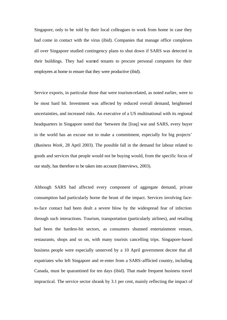Singapore, only to be told by their local colleagues to work from home in case they had come in contact with the virus (ibid). Companies that manage office complexes all over Singapore studied contingency plans to shut down if SARS was detected in their buildings. They had warned tenants to procure personal computers for their employees at home to ensure that they were productive (ibid).

Service exports, in particular those that were tourism-related, as noted earlier, were to be most hard hit. Investment was affected by reduced overall demand, heightened uncertainties, and increased risks. An executive of a US multinational with its regional headquarters in Singapore noted that 'between the [Iraq] war and SARS, every buyer in the world has an excuse not to make a commitment, especially for big projects' (*Business Week*, 28 April 2003). The possible fall in the demand for labour related to goods and services that people would not be buying would, from the specific focus of our study, has therefore to be taken into account (Interviews, 2003).

Although SARS had affected every component of aggregate demand, private consumption had particularly borne the brunt of the impact. Services involving faceto-face contact had been dealt a severe blow by the widespread fear of infection through such interactions. Tourism, transportation (particularly airlines), and retailing had been the hardest-hit sectors, as consumers shunned entertainment venues, restaurants, shops and so on, with many tourists cancelling trips. Singapore-based business people were especially unnerved by a 10 April government decree that all expatriates who left Singapore and re-enter from a SARS-afflicted country, including Canada, must be quarantined for ten days (ibid). That made frequent business travel impractical. The service sector shrank by 3.1 per cent, mainly reflecting the impact of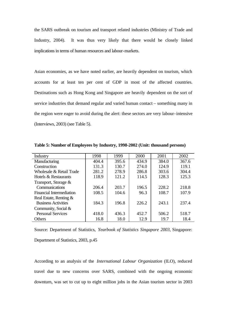the SARS outbreak on tourism and transport related industries (Ministry of Trade and Industry, 2004). It was thus very likely that there would be closely linked implications in terms of human resources and labour-markets.

Asian economies, as we have noted earlier, are heavily dependent on tourism, which accounts for at least ten per cent of GDP in most of the affected countries. Destinations such as Hong Kong and Singapore are heavily dependent on the sort of service industries that demand regular and varied human contact – something many in the region were eager to avoid during the alert: these sectors are very labour-intensive (Interviews, 2003) (see Table 5).

| Industry                        | 1998  | 1999  | 2000  | 2001  | 2002  |
|---------------------------------|-------|-------|-------|-------|-------|
| Manufacturing                   | 404.4 | 395.6 | 434.9 | 384.0 | 367.6 |
| Construction                    | 131.3 | 130.7 | 274.0 | 124.9 | 119.1 |
| Wholesale & Retail Trade        | 281.2 | 278.9 | 286.8 | 303.6 | 304.4 |
| Hotels & Restaurants            | 118.9 | 121.2 | 114.5 | 128.3 | 125.3 |
| Transport, Storage &            |       |       |       |       |       |
| Communications                  | 206.4 | 203.7 | 196.5 | 228.2 | 218.8 |
| <b>Financial Intermediation</b> | 108.5 | 104.6 | 96.3  | 108.7 | 107.9 |
| Real Estate, Renting &          |       |       |       |       |       |
| <b>Business Activities</b>      | 184.3 | 196.8 | 226.2 | 243.1 | 237.4 |
| Community, Social &             |       |       |       |       |       |
| <b>Personal Services</b>        | 418.0 | 436.3 | 452.7 | 506.2 | 518.7 |
| Others                          | 16.8  | 18.0  | 12.9  | 19.7  | 18.4  |

**Table 5: Number of Employees by Industry, 1998-2002 (Unit: thousand persons)**

Source: Department of Statistics, *Yearbook of Statistics Singapore 2003*, Singapore: Department of Statistics, 2003, p.45

According to an analysis of the *International Labour Organization* (ILO), reduced travel due to new concerns over SARS, combined with the ongoing economic downturn, was set to cut up to eight million jobs in the Asian tourism sector in 2003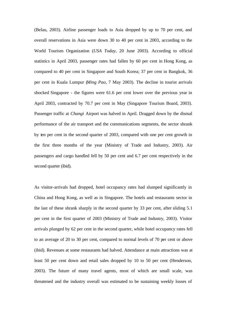(Belau, 2003). Airline passenger loads to Asia dropped by up to 70 per cent, and overall reservations in Asia were down 30 to 40 per cent in 2003, according to the World Tourism Organization (*USA Today*, 20 June 2003). According to official statistics in April 2003, passenger rates had fallen by 60 per cent in Hong Kong, as compared to 40 per cent in Singapore and South Korea; 37 per cent in Bangkok, 36 per cent in Kuala Lumpur (*Ming Pao*, 7 May 2003). The decline in tourist arrivals shocked Singapore - the figures were 61.6 per cent lower over the previous year in April 2003, contracted by 70.7 per cent in May (Singapore Tourism Board, 2003). Passenger traffic at *Changi* Airport was halved in April. Dragged down by the dismal performance of the air transport and the communications segments, the sector shrank by ten per cent in the second quarter of 2003, compared with one per cent growth in the first three months of the year (Ministry of Trade and Industry, 2003). Air passengers and cargo handled fell by 50 per cent and 6.7 per cent respectively in the second quarter (ibid).

As visitor-arrivals had dropped, hotel occupancy rates had slumped significantly in China and Hong Kong, as well as in Singapore. The hotels and restaurants sector in the last of these shrank sharply in the second quarter by 33 per cent, after sliding 5.1 per cent in the first quarter of 2003 (Ministry of Trade and Industry, 2003). Visitor arrivals plunged by 62 per cent in the second quarter, while hotel occupancy rates fell to an average of 20 to 30 per cent, compared to normal levels of 70 per cent or above (ibid). Revenues at some restaurants had halved. Attendance at main attractions was at least 50 per cent down and retail sales dropped by 10 to 50 per cent (Henderson, 2003). The future of many travel agents, most of which are small scale, was threatened and the industry overall was estimated to be sustaining weekly losses of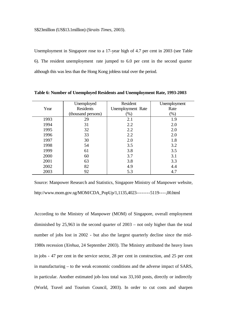Unemployment in Singapore rose to a 17-year high of 4.7 per cent in 2003 (see Table 6). The resident unemployment rate jumped to 6.0 per cent in the second quarter although this was less than the Hong Kong jobless total over the period.

|      | Unemployed         | Resident          | Unemployment |
|------|--------------------|-------------------|--------------|
| Year | <b>Residents</b>   | Unemployment Rate | Rate         |
|      | (thousand persons) | $(\%)$            | $(\%)$       |
| 1993 | 29                 | 2.1               | 1.9          |
| 1994 | 31                 | 2.2               | 2.0          |
| 1995 | 32                 | 2.2               | 2.0          |
| 1996 | 33                 | 2.2               | 2.0          |
| 1997 | 30                 | 2.0               | 1.8          |
| 1998 | 54                 | 3.5               | 3.2          |
| 1999 | 61                 | 3.8               | 3.5          |
| 2000 | 60                 | 3.7               | 3.1          |
| 2001 | 63                 | 3.8               | 3.3          |
| 2002 | 82                 | 4.9               | 4.4          |
| 2003 | 92                 | 5.3               | 4.7          |

**Table 6: Number of Unemployed Residents and Unemployment Rate, 1993-2003**

Source: Manpower Research and Statistics, Singapore Ministry of Manpower website, http://www.mom.gov.sg/MOM/CDA\_PopUp/1,1135,4023--------5119----,00.html

According to the Ministry of Manpower (MOM) of Singapore, overall employment diminished by 25,963 in the second quarter of 2003 – not only higher than the total number of jobs lost in 2002 - but also the largest quarterly decline since the mid-1980s recession (*Xinhua*, 24 September 2003). The Ministry attributed the heavy loses in jobs - 47 per cent in the service sector, 28 per cent in construction, and 25 per cent in manufacturing – to the weak economic conditions and the adverse impact of SARS, in particular. Another estimated job-loss total was 33,160 posts, directly or indirectly (World, Travel and Tourism Council, 2003). In order to cut costs and sharpen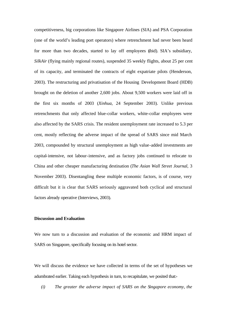competitiveness, big corporations like Singapore Airlines (SIA) and PSA Corporation (one of the world's leading port operators) where retrenchment had never been heard for more than two decades, started to lay off employees (ibid). SIA's subsidiary, *SilkAir* (flying mainly regional routes), suspended 35 weekly flights, about 25 per cent of its capacity, and terminated the contracts of eight expatriate pilots (Henderson, 2003). The restructuring and privatisation of the Housing Development Board (HDB) brought on the deletion of another 2,600 jobs. About 9,500 workers were laid off in the first six months of 2003 (*Xinhua*, 24 September 2003). Unlike previous retrenchments that only affected blue-collar workers, white-collar employees were also affected by the SARS crisis. The resident unemployment rate increased to 5.3 per cent, mostly reflecting the adverse impact of the spread of SARS since mid March 2003, compounded by structural unemployment as high value-added investments are capital-intensive, not labour-intensive, and as factory jobs continued to relocate to China and other cheaper manufacturing destination (*The Asian Wall Street Journal*, 3 November 2003). Disentangling these multiple economic factors, is of course, very difficult but it is clear that SARS seriously aggravated both cyclical and structural factors already operative (Interviews, 2003).

## **Discussion and Evaluation**

We now turn to a discussion and evaluation of the economic and HRM impact of SARS on Singapore, specifically focusing on its hotel sector.

We will discuss the evidence we have collected in terms of the set of hypotheses we adumbrated earlier. Taking each hypothesis in turn, to recapitulate, we posited that:-

*(i) The greater the adverse impact of SARS on the Singapore economy, the*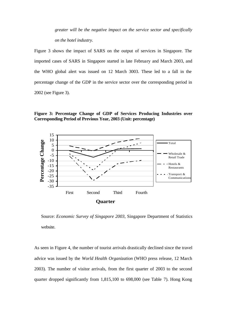*greater will be the negative impact on the service sector and specifically on the hotel industry.*

Figure 3 shows the impact of SARS on the output of services in Singapore. The imported cases of SARS in Singapore started in late February and March 2003, and the WHO global alert was issued on 12 March 3003. These led to a fall in the percentage change of the GDP in the service sector over the corresponding period in 2002 (see Figure 3).

**Figure 3: Percentage Change of GDP of Services Producing Industries over Corresponding Period of Previous Year, 2003 (Unit: percentage)**



Source: *Economic Survey of Singapore 2003*, Singapore Department of Statistics website.

As seen in Figure 4, the number of tourist arrivals drastically declined since the travel advice was issued by the *World Health Organization* (WHO press release, 12 March 2003). The number of visitor arrivals, from the first quarter of 2003 to the second quarter dropped significantly from 1,815,100 to 698,000 (see Table 7). Hong Kong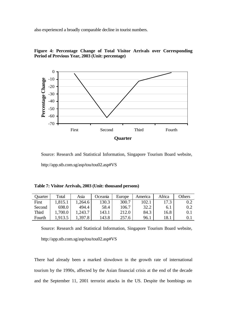also experienced a broadly comparable decline in tourist numbers.



**Figure 4: Percentage Change of Total Visitor Arrivals over Corresponding Period of Previous Year, 2003 (Unit: percentage)**

Source: Research and Statistical Information, Singapore Tourism Board website, http://app.stb.com.sg/asp/tou/tou02.asp#VS

**Table 7: Visitor Arrivals, 2003 (Unit: thousand persons)**

| Quarter      | Total  | Asia   | Oceania | Europe | America | Africa | Others |
|--------------|--------|--------|---------|--------|---------|--------|--------|
| First        | ,815.1 | .264.6 | 130.3   | 300.7  | 102.1   | 17.3   | 0.2    |
| Second       | 698.0  | 494.4  | 58.4    | 106.7  | 32.2    | 6.1    | 0.2    |
| <b>Third</b> | ,700.0 | 243.7  | 143.1   | 212.0  | 84.3    | 16.8   | 0.1    |
| Fourth       | .913.5 | .397.8 | 143.8   | 257.6  | 96.1    | 18.1   |        |

Source: Research and Statistical Information, Singapore Tourism Board website, http://app.stb.com.sg/asp/tou/tou02.asp#VS

There had already been a marked slowdown in the growth rate of international tourism by the 1990s, affected by the Asian financial crisis at the end of the decade and the September 11, 2001 terrorist attacks in the US. Despite the bombings on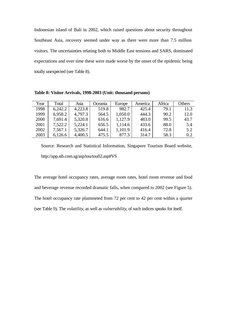Indonesian island of Bali in 2002, which raised questions about security throughout Southeast Asia, recovery seemed under way as there were more than 7.5 million visitors. The uncertainties relating both to Middle East tensions and SARS, dominated expectations and over time these were made worse by the onset of the epidemic being totally unexpected (see Table 8).

| Year | Total   | Asia    | <b>Oceania</b> | Europe  | America | Africa | Others |
|------|---------|---------|----------------|---------|---------|--------|--------|
| 1998 | 6,242.2 | 4,223.8 | 519.8          | 982.7   | 425.4   | 79.1   | 11.3   |
| 1999 | 6,958.2 | 4,797.3 | 564.5          | 1,050.0 | 444.3   | 90.2   | 12.0   |
| 2000 | 7,691.4 | 5,320.8 | 616.6          | 1,127.9 | 483.0   | 99.5   | 43.7   |
| 2001 | 7,522.2 | 5,224.1 | 656.5          | 1,114.6 | 433.6   | 88.0   | 5.4    |
| 2002 | 7,567.1 | 5,326.7 | 644.1          | 1,101.9 | 416.4   | 72.8   | 5.2    |
| 2003 | 6,126.6 | 4,400.5 | 475.5          | 877.3   | 314.7   | 58.3   | 0.2    |

Source: Research and Statistical Information, Singapore Tourism Board website, http://app.stb.com.sg/asp/tou/tou02.asp#VS

The average hotel occupancy rates, average room rates, hotel room revenue and food and beverage revenue recorded dramatic falls, when compared to 2002 (see Figure 5). The hotel occupancy rate plummeted from 72 per cent to 42 per cent within a quarter (see Table 9). The *volatility*, as well as *vulnerability*, of such indices speaks for itself.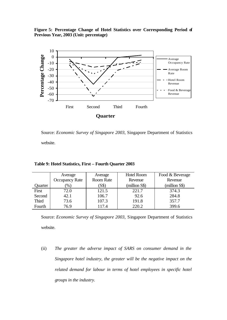**Figure 5: Percentage Change of Hotel Statistics over Corresponding Period of Previous Year, 2003 (Unit: percentage)**



Source: *Economic Survey of Singapore 2003*, Singapore Department of Statistics website.

|              | Average               | Average   | <b>Hotel Room</b> | Food & Beverage |
|--------------|-----------------------|-----------|-------------------|-----------------|
|              | <b>Occupancy Rate</b> | Room Rate | Revenue           | Revenue         |
| Quarter      | $(\%)$                | (S\$)     | (million S\$)     | (million S\$)   |
| First        | 72.0                  | 121.5     | 221.7             | 374.3           |
| Second       | 42.1                  | 106.7     | 92.6              | 284.8           |
| <b>Third</b> | 73.6                  | 107.3     | 191.8             | 357.7           |
| Fourth       | 76.9                  | 117.4     | 220.2             | 399.6           |

**Table 9: Hotel Statistics, First – Fourth Quarter 2003**

Source: *Economic Survey of Singapore 2003*, Singapore Department of Statistics website.

(ii) *The greater the adverse impact of SARS on consumer demand in the Singapore hotel industry, the greater will be the negative impact on the related demand for labour in terms of hotel employees in specific hotel groups in the industry.*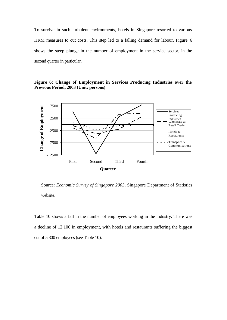To survive in such turbulent environments, hotels in Singapore resorted to various HRM measures to cut costs. This step led to a falling demand for labour. Figure 6 shows the steep plunge in the number of employment in the service sector, in the second quarter in particular.

**Figure 6: Change of Employment in Services Producing Industries over the Previous Period, 2003 (Unit: persons)**



Source: *Economic Survey of Singapore 2003*, Singapore Department of Statistics website.

Table 10 shows a fall in the number of employees working in the industry. There was a decline of 12,100 in employment, with hotels and restaurants suffering the biggest cut of 5,800 employees (see Table 10).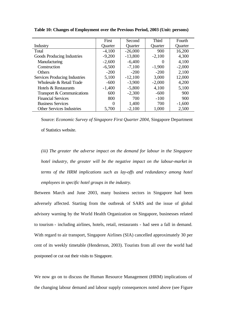|                                  | First             | Second    | <b>Third</b>     | Fourth   |
|----------------------------------|-------------------|-----------|------------------|----------|
| Industry                         | Quarter           | Quarter   | Quarter          | Quarter  |
| Total                            | $-4,100$          | $-26,000$ | 900              | 16,200   |
| Goods Producing Industries       | $-9,200$          | $-13,800$ | $-2,100$         | 4,300    |
| Manufacturing                    | $-2,600$          | $-6,400$  | $\left( \right)$ | 4,100    |
| Construction                     | $-6,500$          | $-7,100$  | $-1,900$         | $-2,000$ |
| Others                           | $-200$            | $-200$    | $-200$           | 2,100    |
| Services Producing Industries    | 5,100             | $-12,100$ | 3,000            | 12,000   |
| Wholesale & Retail Trade         | $-600$            | $-3,900$  | $-2,000$         | 4,200    |
| Hotels & Restaurants             | $-1,400$          | $-5,800$  | 4,100            | 5,100    |
| Transport & Communications       | 600               | $-2,300$  | $-600$           | 900      |
| <b>Financial Services</b>        | 800               | 700       | $-100$           | 900      |
| <b>Business Services</b>         | $\mathbf{\Omega}$ | 1,400     | 700              | $-1,600$ |
| <b>Other Services Industries</b> | 5,700             | $-2,100$  | 1,000            | 2,500    |

**Table 10: Changes of Employment over the Previous Period, 2003 (Unit: persons)**

Source: *Economic Survey of Singapore First Quarter 2004*, Singapore Department of Statistics website.

*(iii) The greater the adverse impact on the demand for labour in the Singapore hotel industry, the greater will be the negative impact on the labour-market in terms of the HRM implications such as lay-offs and redundancy among hotel employees in specific hotel groups in the industry.*

Between March and June 2003, many business sectors in Singapore had been adversely affected. Starting from the outbreak of SARS and the issue of global advisory warning by the World Health Organization on Singapore, businesses related to tourism - including airlines, hotels, retail, restaurants - had seen a fall in demand. With regard to air transport, Singapore Airlines (SIA) cancelled approximately 30 per cent of its weekly timetable (Henderson, 2003). Tourists from all over the world had postponed or cut out their visits to Singapore.

We now go on to discuss the Human Resource Management (HRM) implications of the changing labour demand and labour supply consequences noted above (see Figure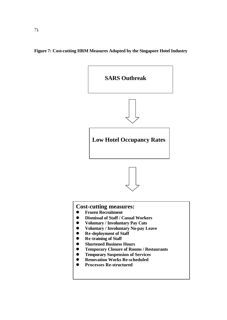

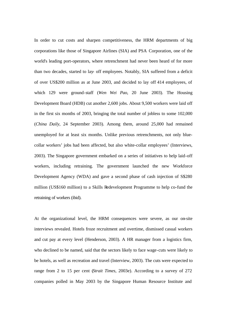In order to cut costs and sharpen competitiveness, the HRM departments of big corporations like those of Singapore Airlines (SIA) and PSA Corporation, one of the world's leading port-operators, where retrenchment had never been heard of for more than two decades, started to lay- off employees. Notably, SIA suffered from a deficit of over US\$200 million as at June 2003, and decided to lay off 414 employees, of which 129 were ground-staff (*Wen Wei Pao*, 20 June 2003). The Housing Development Board (HDB) cut another 2,600 jobs. About 9,500 workers were laid off in the first six months of 2003, bringing the total number of jobless to some 102,000 (*China Daily*, 24 September 2003). Among them, around 25,000 had remained unemployed for at least six months. Unlike previous retrenchments, not only bluecollar workers' jobs had been affected, but also white-collar employees' (Interviews, 2003). The Singapore government embarked on a series of initiatives to help laid-off workers, including retraining. The government launched the new Workforce Development Agency (WDA) and gave a second phase of cash injection of S\$280 million (US\$160 million) to a Skills Redevelopment Programme to help co-fund the retraining of workers (ibid).

At the organizational level, the HRM consequences were severe, as our on-site interviews revealed. Hotels froze recruitment and overtime, dismissed casual workers and cut pay at every level (Henderson, 2003). A HR manager from a logistics firm, who declined to be named, said that the sectors likely to face wage-cuts were likely to be hotels, as well as recreation and travel (Interview, 2003). The cuts were expected to range from 2 to 15 per cent (*Strait Times*, 2003e). According to a survey of 272 companies polled in May 2003 by the Singapore Human Resource Institute and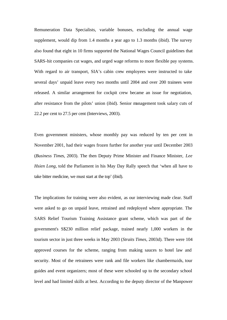Remuneration Data Specialists, variable bonuses, excluding the annual wage supplement, would dip from 1.4 months a year ago to 1.3 months (ibid). The survey also found that eight in 10 firms supported the National Wages Council guidelines that SARS-hit companies cut wages, and urged wage reforms to more flexible pay systems. With regard to air transport, SIA's cabin crew employees were instructed to take several days' unpaid leave every two months until 2004 and over 200 trainees were released. A similar arrangement for cockpit crew became an issue for negotiation, after resistance from the pilots' union (ibid). Senior management took salary cuts of 22.2 per cent to 27.5 per cent (Interviews, 2003).

Even government ministers, whose monthly pay was reduced by ten per cent in November 2001, had their wages frozen further for another year until December 2003 (*Business Times*, 2003). The then Deputy Prime Minister and Finance Minister, *Lee Hsien Long*, told the Parliament in his May Day Rally speech that 'when all have to take bitter medicine, we must start at the top' (ibid).

The implications for training were also evident, as our interviewing made clear. Staff were asked to go on unpaid leave, retrained and redeployed where appropriate. The SARS Relief Tourism Training Assistance grant scheme, which was part of the government's S\$230 million relief package, trained nearly 1,000 workers in the tourism sector in just three weeks in May 2003 (*Straits Times*, 2003d). There were 104 approved courses for the scheme, ranging from making sauces to hotel law and security. Most of the retrainees were rank and file workers like chambermaids, tour guides and event organizers; most of these were schooled up to the secondary school level and had limited skills at best. According to the deputy director of the Manpower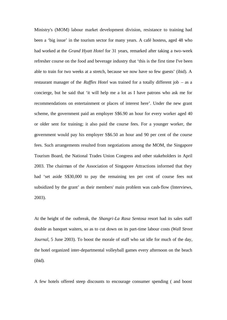Ministry's (MOM) labour market development division, resistance to training had been a 'big issue' in the tourism sector for many years. A café hostess, aged 48 who had worked at the *Grand Hyatt Hotel* for 31 years, remarked after taking a two-week refresher course on the food and beverage industry that 'this is the first time I've been able to train for two weeks at a stretch, because we now have so few guests' (ibid). A restaurant manager of the *Raffles Hotel* was trained for a totally different job – as a concierge, but he said that 'it will help me a lot as I have patrons who ask me for recommendations on entertainment or places of interest here'. Under the new grant scheme, the government paid an employer S\$6.90 an hour for every worker aged 40 or older sent for training; it also paid the course fees. For a younger worker, the government would pay his employer S\$6.50 an hour and 90 per cent of the course fees. Such arrangements resulted from negotiations among the MOM, the Singapore Tourism Board, the National Trades Union Congress and other stakeholders in April 2003. The chairman of the Association of Singapore Attractions informed that they had 'set aside S\$30,000 to pay the remaining ten per cent of course fees not subsidized by the grant' as their members' main problem was cash-flow (Interviews, 2003).

At the height of the outbreak, the *Shangri-La Rasa Sentosa* resort had its sales staff double as banquet waiters, so as to cut down on its part-time labour costs (*Wall Street Journal*, 5 June 2003). To boost the morale of staff who sat idle for much of the day, the hotel organized inter-departmental volleyball games every afternoon on the beach (ibid).

A few hotels offered steep discounts to encourage consumer spending ( and boost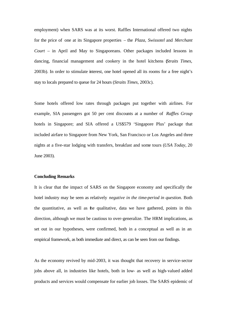employment) when SARS was at its worst. Raffles International offered two nights for the price of one at its Singapore properties – the *Plaza*, *Swissotel* and *Merchant Court* – in April and May to Singaporeans. Other packages included lessons in dancing, financial management and cookery in the hotel kitchens (*Straits Times*, 2003b). In order to stimulate interest, one hotel opened all its rooms for a free night's stay to locals prepared to queue for 24 hours (*Straits Times*, 2003c).

Some hotels offered low rates through packages put together with airlines. For example, SIA passengers got 50 per cent discounts at a number of *Raffles Group* hotels in Singapore; and SIA offered a US\$579 'Singapore Plus' package that included airfare to Singapore from New York, San Francisco or Los Angeles and three nights at a five-star lodging with transfers, breakfast and some tours (*USA Today*, 20 June 2003).

# **Concluding Remarks**

It is clear that the impact of SARS on the Singapore economy and specifically the hotel industry may be seen as relatively *negative in the time-period in question.* Both the quantitative, as well as the qualitative, data we have gathered, points in this direction, although we must be cautious to over-generalize. The HRM implications, as set out in our hypotheses, were confirmed, both in a conceptual as well as in an empirical framework, as both immediate and direct, as can be seen from our findings.

As the economy revived by mid-2003, it was thought that recovery in service-sector jobs above all, in industries like hotels, both in low- as well as high-valued added products and services would compensate for earlier job losses. The SARS epidemic of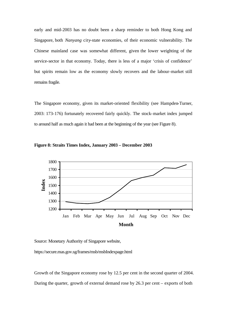early and mid-2003 has no doubt been a sharp reminder to both Hong Kong and Singapore, both *Nanyang* city-state economies, of their economic vulnerability. The Chinese mainland case was somewhat different, given the lower weighting of the service-sector in that economy. Today, there is less of a major 'crisis of confidence' but spirits remain low as the economy slowly recovers and the labour-market still remains fragile.

The Singapore economy, given its market-oriented flexibility (see Hampden-Turner, 2003: 173-176) fortunately recovered fairly quickly. The stock-market index jumped to around half as much again it had been at the beginning of the year (see Figure 8).



**Figure 8: Straits Times Index, January 2003 – December 2003**

Source: Monetary Authority of Singapore website,

https://secure.mas.gov.sg/frames/msb/msbIndexpage.html

Growth of the Singapore economy rose by 12.5 per cent in the second quarter of 2004. During the quarter, growth of external demand rose by 26.3 per cent – exports of both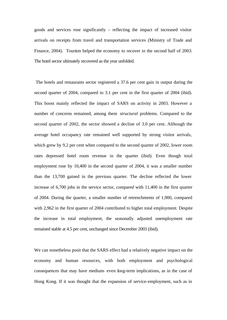goods and services rose significantly – reflecting the impact of increased visitor arrivals on receipts from travel and transportation services (Ministry of Trade and Finance, 2004). Tourism helped the economy to recover in the second half of 2003. The hotel sector ultimately recovered as the year unfolded.

 The hotels and restaurants sector registered a 37.6 per cent gain in output during the second quarter of 2004, compared to 3.1 per cent in the first quarter of 2004 (ibid). This boost mainly reflected the impact of SARS on activity in 2003. However a number of concerns remained, among them *structural* problems. Compared to the second quarter of 2002, the sector showed a decline of 3.0 per cent. Although the average hotel occupancy rate remained well supported by strong visitor arrivals, which grew by 9.2 per cent when compared to the second quarter of 2002, lower room rates depressed hotel room revenue in the quarter (ibid). Even though total employment rose by 10,400 in the second quarter of 2004, it was a smaller number than the 13,700 gained in the previous quarter. The decline reflected the lower increase of 6,700 jobs in the service sector, compared with 11,400 in the first quarter of 2004. During the quarter, a smaller number of retrenchments of 1,900, compared with 2,962 in the first quarter of 2004 contributed to higher total employment. Despite the increase in total employment, the seasonally adjusted unemployment rate remained stable at 4.5 per cent, unchanged since December 2003 (ibid).

We can nonetheless posit that the SARS effect had a relatively negative impact on the economy and human resources, with both employment and psychological consequences that may have medium- even long-term implications, as in the case of Hong Kong. If it was thought that the expansion of service-employment, such as in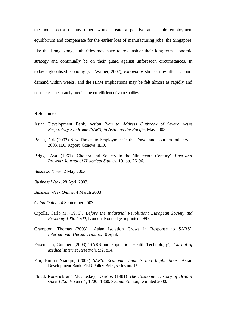the hotel sector or any other, would create a positive and stable employment equilibrium and compensate for the earlier loss of manufacturing jobs, the Singapore, like the Hong Kong, authorities may have to re-consider their long-term economic strategy and continually be on their guard against unforeseen circumstances. In today's globalised economy (see Warner, 2002), *exogenous* shocks may affect labourdemand within weeks, and the HRM implications may be felt almost as rapidly and no-one can accurately predict the co-efficient of vulnerability.

## **References**

- Asian Development Bank, *Action Plan to Address Outbreak of Severe Acute Respiratory Syndrome (SARS) in Asia and the Pacific*, May 2003.
- Belau, Dirk (2003) New Threats to Employment in the Travel and Tourism Industry 2003, ILO Report, Geneva: ILO.
- Briggs, Asa. (1961) 'Cholera and Society in the Nineteenth Century', *Past and Present: Journal of Historical Studies*, 19, pp. 76-96.
- *Business Times*, 2 May 2003.
- *Business Week*, 28 April 2003.
- *Business Week Online*, 4 March 2003
- *China Daily*, 24 September 2003.
- Cipolla, Carlo M. (1976), *Before the Industrial Revolution; European Society and Economy 1000-1700*, London: Routledge, reprinted 1997.
- Crampton, Thomas (2003), 'Asian Isolation Grows in Response to SARS', *International Herald Tribune*, 10 April.
- Eysenbach, Gunther, (2003) 'SARS and Population Health Technology', *Journal of Medical Internet Research,* 5:2, e14.
- Fan, Emma Xiaoqin, (2003) *SARS: Economic Impacts and Implications*, Asian Development Bank, ERD Policy Brief, series no. 15.
- Floud, Roderick and McCloskey, Deirdre, (1981) *The Economic History of Britain since 1700*, Volume 1, 1700- 1860. Second Edition, reprinted 2000.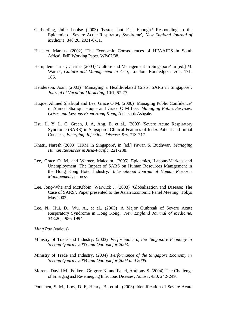- Gerberding, Julie Louise (2003) 'Faster…but Fast Enough? Responding to the Epidemic of Severe Acute Respiratory Syndrome', *New England Journal of Medicine*, 348:20, 2031-0-31.
- Haacker, Marcus, (2002) 'The Economic Consequences of HIV/AIDS in South Africa', IMF Working Paper, WP/02/38.
- Hampden-Turner, Charles (2003) 'Culture and Management in Singapore' in [ed.] M. Warner, *Culture and Management in Asia*, London: RoutledgeCurzon, 171- 186.
- Henderson, Joan, (2003) 'Managing a Health-related Crisis: SARS in Singapore', *Journal of Vacation Marketing*, 10:1, 67-77.
- Huque, Ahmed Shafiqul and Lee, Grace O M, (2000) 'Managing Public Confidence' in Ahmed Shafiqul Huque and Grace O M Lee, *Managing Public Services: Crises and Lessons From Hong Kong*, Aldershot: Ashgate.
- Hsu, L. Y. L. C, Green, J. A, Ang, B, et al., (2003) 'Severe Acute Respiratory Syndrome (SARS) in Singapore: Clinical Features of Index Patient and Initial Contacts', *Emerging Infectious Disease,* 9:6, 713-717.
- Khatri, Naresh (2003) 'HRM in Singapore', in [ed.] Pawan S. Budhwar, *Managing Human Resources in Asia-Pacific*, 221-238.
- Lee, Grace O. M. and Warner, Malcolm, (2005) Epidemics, Labour-Markets and Unemployment: The Impact of SARS on Human Resources Management in the Hong Kong Hotel Industry,' *International Journal of Human Resource Management*, in press.
- Lee, Jong-Wha and McKibbin, Warwick J. (2003) 'Globalization and Disease: The Case of SARS', Paper presented to the Asian Economic Panel Meeting, Tokyo, May 2003.
- Lee, N., Hui, D., Wu, A., et al., (2003) 'A Major Outbreak of Severe Acute Respiratory Syndrome in Hong Kong', *New England Journal of Medicine*, 348:20, 1986-1994.
- *Ming Pao* (various)
- Ministry of Trade and Industry, (2003) *Performance of the Singapore Economy in Second Quarter 2003 and Outlook for 2003*.
- Ministry of Trade and Industry, (2004) *Performance of the Singapore Economy in Second Quarter 2004 and Outlook for 2004 and 2005*.
- Morens, David M., Folkers, Gregory K. and Fauci, Anthony S. (2004) 'The Challenge of Emerging and Re-emerging Infectious Diseases', *Nature*, 430, 242-249.

Poutanen, S. M., Low, D. E, Henry, B., et al., (2003) 'Identification of Severe Acute